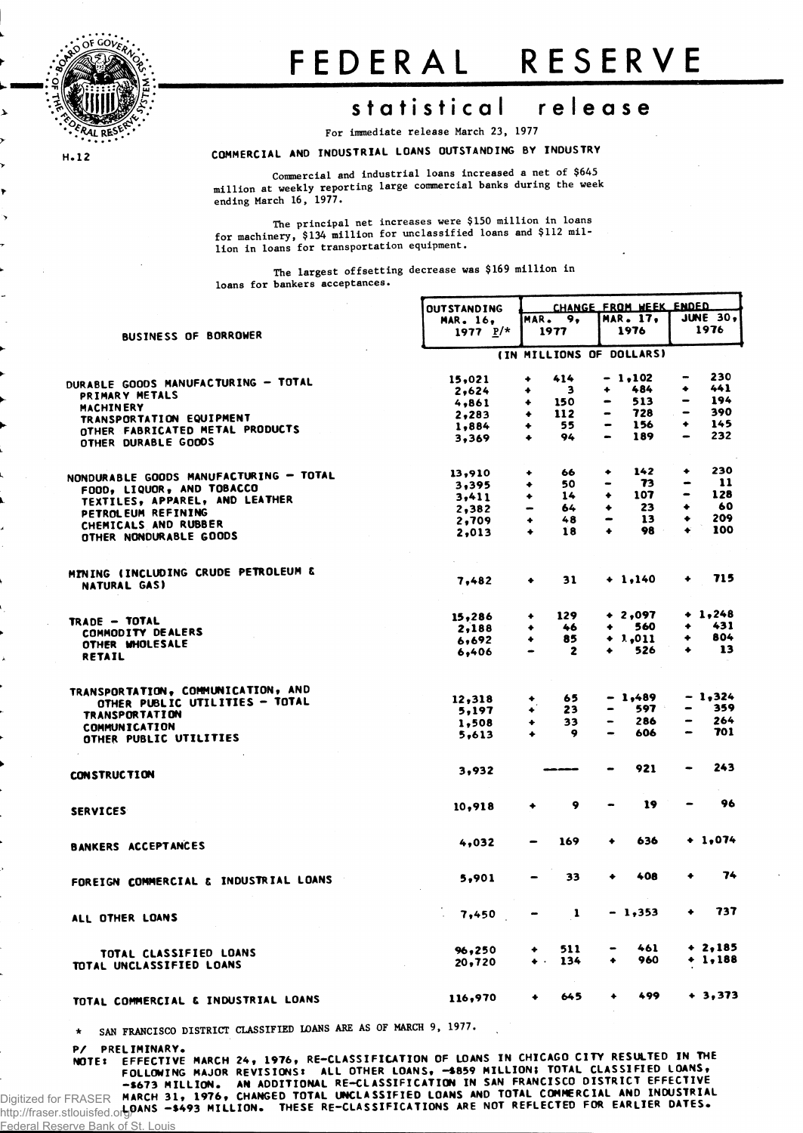

**H.12** 

# FEDERA L RESERV E

## **statistica l releas e**

**For immediate release March 23, 1977**

#### **COMMERCIAL AND INDUSTRIAL LOANS OUTSTANDING BY INDUSTRY**

**Commercial and industrial loans increased a net of \$645 million at weekly reporting large commercial banks during the week ending March 16, 1977.**

**The principal net increases were \$150 million in loans** for machinery, \$134 million for unclassified loans and \$112 mil**lion in loans for transportation equipment.**

**The largest offsetting decrease was \$169 million in loans for bankers acceptances.**

|                                                     | <b>OUTSTANDING</b>       |                              | CHANGE FROM WEEK ENDED |                              |           |                          |           |  |  |
|-----------------------------------------------------|--------------------------|------------------------------|------------------------|------------------------------|-----------|--------------------------|-----------|--|--|
|                                                     | <b>MAR. 16.</b>          |                              | MAR. 9,                | <b>MAR. 17.</b>              |           | JUNE $30,$               |           |  |  |
| <b>BUSINESS OF BORROWER</b>                         | 1977 $P/*$               |                              | 1977                   |                              | 1976      |                          | 1976      |  |  |
|                                                     | (IN MILLIONS OF DOLLARS) |                              |                        |                              |           |                          |           |  |  |
| <b>DURABLE GOODS MANUFACTURING - TOTAL</b>          | 15,021                   | ۰                            | 414                    |                              | $-1,102$  |                          | 230       |  |  |
|                                                     | 2,624                    | ۰                            | 3                      | ۰                            | 484       | ۰                        | 441       |  |  |
| PRIMARY METALS                                      | 4,861                    | ۰                            | 150                    | $\qquad \qquad \blacksquare$ | 513       | $\,$                     | 194       |  |  |
| <b>MACHINERY</b><br>TRANSPORTATION EQUIPMENT        | 2,283                    | ٠                            | 112                    |                              | 728       | $\overline{\phantom{0}}$ | 390       |  |  |
| OTHER FABRICATED METAL PRODUCTS                     | 1,884                    | ۰                            | 55                     | $\bullet$                    | 156       | ٠                        | 145       |  |  |
| OTHER DURABLE GOODS                                 | 3,369                    | $\ddotmark$                  | 94                     | $\bullet$                    | 189       | $\bullet$                | 232       |  |  |
|                                                     | 13,910                   | ۰                            | 66                     | ۰                            | 142       | ۰                        | 230       |  |  |
| NONDURABLE GOODS MANUFACTURING - TOTAL              | 3,395                    | ٠                            | 50                     | -                            | 73        |                          | 11        |  |  |
| FOOD, LIQUOR, AND TOBACCO                           | 3,411                    | ۰                            | 14                     | ٠                            | 107       | $\bullet$                | 128       |  |  |
| TEXTILES, APPAREL, AND LEATHER                      | 2,382                    |                              | 64                     | ۰                            | 23        | ٠                        | 60        |  |  |
| PETROL EUM REFINING                                 | 2,709                    | ۰                            | 48                     | $\qquad \qquad \blacksquare$ | 13        | ٠                        | 209       |  |  |
| CHEMICALS AND RUBBER<br>OTHER NONDURABLE GOODS      | 2,013                    | ٠                            | 18                     | ۰                            | 98        | ٠                        | 100       |  |  |
|                                                     |                          |                              |                        |                              |           |                          |           |  |  |
| MINING (INCLUDING CRUDE PETROLEUM &<br>NATURAL GAS) | 7,482                    | ٠                            | 31                     |                              | $+ 1,140$ |                          | 715       |  |  |
| <b>TRADE - TOTAL</b>                                | 15,286                   | ۰                            | 129                    |                              | $+2,097$  |                          | $+ 1,248$ |  |  |
| COMMODITY DEALERS                                   | 2,188                    | ۰                            | 46                     | ۰                            | 560       | ٠                        | 431       |  |  |
| OTHER MHOLESALE                                     | 6,692                    | ٠                            | 85                     |                              | $+1,011$  |                          | 804       |  |  |
| <b>RETAIL</b>                                       | 6,406                    | $\qquad \qquad \blacksquare$ | $\mathbf{z}$           |                              | 526       |                          | 13        |  |  |
| TRANSPORTATION, COMMUNICATION, AND                  |                          |                              |                        |                              |           |                          | $-1,324$  |  |  |
| OTHER PUBLIC UTILITIES - TOTAL                      | 12,318                   | ٠                            | 65                     |                              | $-1,489$  |                          | 359       |  |  |
| <b>TRANSPORTATION</b>                               | 5,197                    | ۰                            | 23                     |                              | 597 -     |                          |           |  |  |
| COMMUNICATION                                       | 1,508                    | ۰                            | 33                     |                              | 286       |                          | 264       |  |  |
| OTHER PUBLIC UTILITIES                              | 5,613                    | ۰                            | 9                      |                              | 606       |                          | 701       |  |  |
| <b>CONSTRUCTION</b>                                 | 3,932                    |                              |                        |                              | 921       |                          | 243       |  |  |
| <b>SERVICES</b>                                     | 10,918                   | ۰                            | 9                      |                              | 19        |                          | 96        |  |  |
|                                                     |                          |                              | 169                    |                              | 636       |                          | $+1,074$  |  |  |
| <b>BANKERS ACCEPTANCES</b>                          | 4,032                    |                              |                        |                              |           |                          |           |  |  |
| FOREIGN COMMERCIAL & INDUSTRIAL LOANS               | 5,901                    |                              | 33                     |                              | 408       |                          | 74        |  |  |
| ALL OTHER LOANS                                     | 7.450                    | $\qquad \qquad \blacksquare$ | $\mathbf{1}$           |                              | $-1,353$  | ۰                        | 737       |  |  |
|                                                     | 96,250                   |                              | 511                    |                              | 461       |                          | $+2,185$  |  |  |
| TOTAL CLASSIFIED LOANS<br>TOTAL UNCLASSIFIED LOANS  | 20,720                   | $\bullet$ .                  | 134                    | ٠                            | 960       |                          | $+ 1,188$ |  |  |
|                                                     |                          |                              |                        |                              |           |                          |           |  |  |
| TOTAL COMMERCIAL & INDUSTRIAL LOANS                 | 116,970                  | ٠                            | 645                    | ٠                            | 499       |                          | $+3,373$  |  |  |

**\* SAN FRANCISCO DISTRICT CLASSIFIED LOANS ARE AS OF MARCH 9, 1977.**

P/ PRELIMINARY.

<u>I Reserve Bank of St.</u>

**NOTEt EFFECTIVE MARCH 2 4, 1976, RE-CLASSIFICATION OF LOANS IN CHICAGO CITY RESULTED IN THE FOLLOWING MAJOR REVISIONS: ALL OTHER LOANS, -S859 MILLION: TOTAL CLASSIFIED LOANS, -\$67 3 MILLION. AN ADDITIONAL RE-CLASSIFICATION IN SAN FRANCISCO DISTRICT EFFECTIVE MARCH 3 1, 1976, CHANGED TOTAL UNCLASSIFIED LOANS AND TOTAL COMMERCIAL A ND INDUSTRIAL** Digitized for FRASER **LOANS -\*49 3 MILLION. THESE RE-CLASSIFICATIONS ARE NOT REFLECTED FOR EARLIER DATES .** http://fraser.stlouisfed.org/